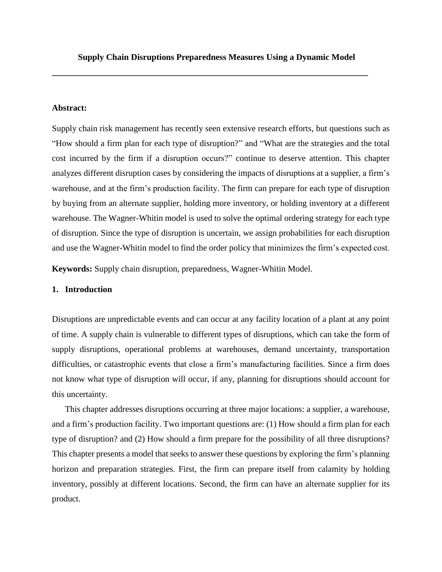**\_\_\_\_\_\_\_\_\_\_\_\_\_\_\_\_\_\_\_\_\_\_\_\_\_\_\_\_\_\_\_\_\_\_\_\_\_\_\_\_\_\_\_\_\_\_\_\_\_\_\_\_\_\_\_\_\_\_\_\_\_\_\_\_\_\_\_\_\_\_\_\_\_**

### **Abstract:**

Supply chain risk management has recently seen extensive research efforts, but questions such as "How should a firm plan for each type of disruption?" and "What are the strategies and the total cost incurred by the firm if a disruption occurs?" continue to deserve attention. This chapter analyzes different disruption cases by considering the impacts of disruptions at a supplier, a firm's warehouse, and at the firm's production facility. The firm can prepare for each type of disruption by buying from an alternate supplier, holding more inventory, or holding inventory at a different warehouse. The Wagner-Whitin model is used to solve the optimal ordering strategy for each type of disruption. Since the type of disruption is uncertain, we assign probabilities for each disruption and use the Wagner-Whitin model to find the order policy that minimizes the firm's expected cost.

**Keywords:** Supply chain disruption, preparedness, Wagner-Whitin Model.

## **1. Introduction**

Disruptions are unpredictable events and can occur at any facility location of a plant at any point of time. A supply chain is vulnerable to different types of disruptions, which can take the form of supply disruptions, operational problems at warehouses, demand uncertainty, transportation difficulties, or catastrophic events that close a firm's manufacturing facilities. Since a firm does not know what type of disruption will occur, if any, planning for disruptions should account for this uncertainty.

This chapter addresses disruptions occurring at three major locations: a supplier, a warehouse, and a firm's production facility. Two important questions are: (1) How should a firm plan for each type of disruption? and (2) How should a firm prepare for the possibility of all three disruptions? This chapter presents a model that seeks to answer these questions by exploring the firm's planning horizon and preparation strategies. First, the firm can prepare itself from calamity by holding inventory, possibly at different locations. Second, the firm can have an alternate supplier for its product.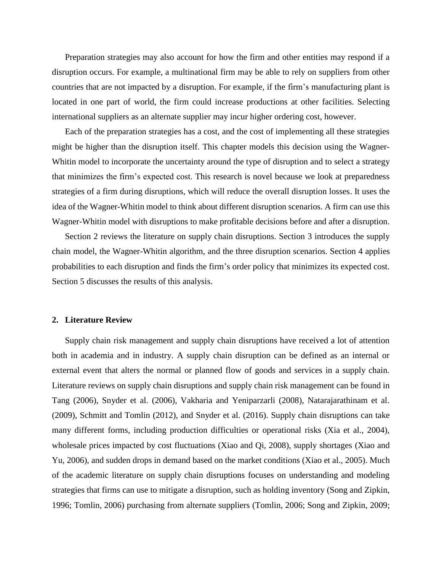Preparation strategies may also account for how the firm and other entities may respond if a disruption occurs. For example, a multinational firm may be able to rely on suppliers from other countries that are not impacted by a disruption. For example, if the firm's manufacturing plant is located in one part of world, the firm could increase productions at other facilities. Selecting international suppliers as an alternate supplier may incur higher ordering cost, however.

Each of the preparation strategies has a cost, and the cost of implementing all these strategies might be higher than the disruption itself. This chapter models this decision using the Wagner-Whitin model to incorporate the uncertainty around the type of disruption and to select a strategy that minimizes the firm's expected cost. This research is novel because we look at preparedness strategies of a firm during disruptions, which will reduce the overall disruption losses. It uses the idea of the Wagner-Whitin model to think about different disruption scenarios. A firm can use this Wagner-Whitin model with disruptions to make profitable decisions before and after a disruption.

Section 2 reviews the literature on supply chain disruptions. Section 3 introduces the supply chain model, the Wagner-Whitin algorithm, and the three disruption scenarios. Section 4 applies probabilities to each disruption and finds the firm's order policy that minimizes its expected cost. Section 5 discusses the results of this analysis.

#### **2. Literature Review**

Supply chain risk management and supply chain disruptions have received a lot of attention both in academia and in industry. A supply chain disruption can be defined as an internal or external event that alters the normal or planned flow of goods and services in a supply chain. Literature reviews on supply chain disruptions and supply chain risk management can be found in Tang (2006), Snyder et al. (2006), Vakharia and Yeniparzarli (2008), Natarajarathinam et al. (2009), Schmitt and Tomlin (2012), and Snyder et al. (2016). Supply chain disruptions can take many different forms, including production difficulties or operational risks (Xia et al., 2004), wholesale prices impacted by cost fluctuations (Xiao and Qi, 2008), supply shortages (Xiao and Yu, 2006), and sudden drops in demand based on the market conditions (Xiao et al., 2005). Much of the academic literature on supply chain disruptions focuses on understanding and modeling strategies that firms can use to mitigate a disruption, such as holding inventory (Song and Zipkin, 1996; Tomlin, 2006) purchasing from alternate suppliers (Tomlin, 2006; Song and Zipkin, 2009;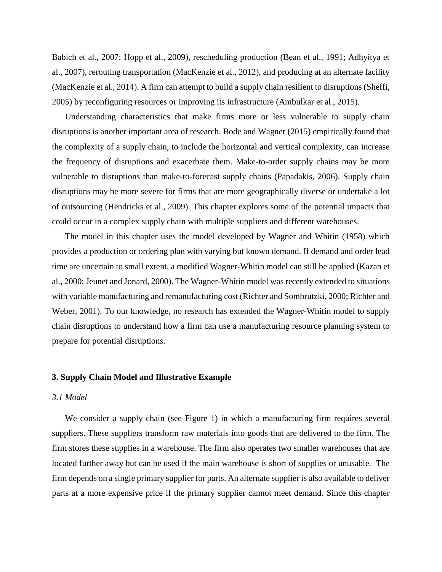Babich et al., 2007; Hopp et al., 2009), rescheduling production (Bean et al., 1991; Adhyitya et al., 2007), rerouting transportation (MacKenzie et al., 2012), and producing at an alternate facility (MacKenzie et al., 2014). A firm can attempt to build a supply chain resilient to disruptions (Sheffi, 2005) by reconfiguring resources or improving its infrastructure (Ambulkar et al., 2015).

Understanding characteristics that make firms more or less vulnerable to supply chain disruptions is another important area of research. Bode and Wagner (2015) empirically found that the complexity of a supply chain, to include the horizontal and vertical complexity, can increase the frequency of disruptions and exacerbate them. Make-to-order supply chains may be more vulnerable to disruptions than make-to-forecast supply chains (Papadakis, 2006). Supply chain disruptions may be more severe for firms that are more geographically diverse or undertake a lot of outsourcing (Hendricks et al., 2009). This chapter explores some of the potential impacts that could occur in a complex supply chain with multiple suppliers and different warehouses.

The model in this chapter uses the model developed by Wagner and Whitin (1958) which provides a production or ordering plan with varying but known demand. If demand and order lead time are uncertain to small extent, a modified Wagner-Whitin model can still be applied (Kazan et al., 2000; Jeunet and Jonard, 2000). The Wagner-Whitin model was recently extended to situations with variable manufacturing and remanufacturing cost (Richter and Sombrutzki, 2000; Richter and Weber, 2001). To our knowledge, no research has extended the Wagner-Whitin model to supply chain disruptions to understand how a firm can use a manufacturing resource planning system to prepare for potential disruptions.

## **3. Supply Chain Model and Illustrative Example**

# *3.1 Model*

We consider a supply chain (see Figure 1) in which a manufacturing firm requires several suppliers. These suppliers transform raw materials into goods that are delivered to the firm. The firm stores these supplies in a warehouse. The firm also operates two smaller warehouses that are located further away but can be used if the main warehouse is short of supplies or unusable. The firm depends on a single primary supplier for parts. An alternate supplier is also available to deliver parts at a more expensive price if the primary supplier cannot meet demand. Since this chapter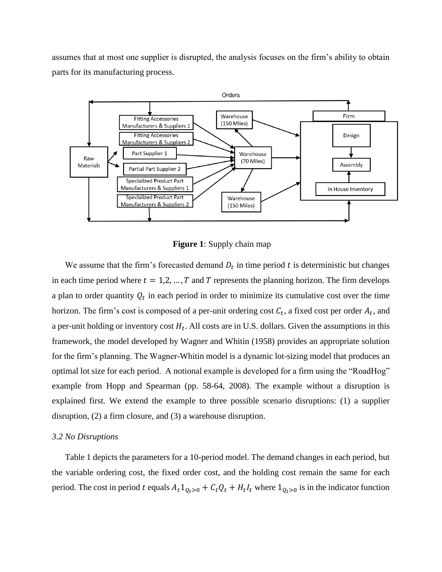assumes that at most one supplier is disrupted, the analysis focuses on the firm's ability to obtain parts for its manufacturing process.



**Figure 1**: Supply chain map

We assume that the firm's forecasted demand  $D_t$  in time period t is deterministic but changes in each time period where  $t = 1, 2, ..., T$  and T represents the planning horizon. The firm develops a plan to order quantity  $Q_t$  in each period in order to minimize its cumulative cost over the time horizon. The firm's cost is composed of a per-unit ordering cost  $\mathcal{C}_t$ , a fixed cost per order  $A_t$ , and a per-unit holding or inventory cost  $H_t$ . All costs are in U.S. dollars. Given the assumptions in this framework, the model developed by Wagner and Whitin (1958) provides an appropriate solution for the firm's planning. The Wagner-Whitin model is a dynamic lot-sizing model that produces an optimal lot size for each period. A notional example is developed for a firm using the "RoadHog" example from Hopp and Spearman (pp. 58-64, 2008). The example without a disruption is explained first. We extend the example to three possible scenario disruptions: (1) a supplier disruption, (2) a firm closure, and (3) a warehouse disruption.

### *3.2 No Disruptions*

Table 1 depicts the parameters for a 10-period model. The demand changes in each period, but the variable ordering cost, the fixed order cost, and the holding cost remain the same for each period. The cost in period t equals  $A_t 1_{Q_t>0} + C_t Q_t + H_t I_t$  where  $1_{Q_t>0}$  is in the indicator function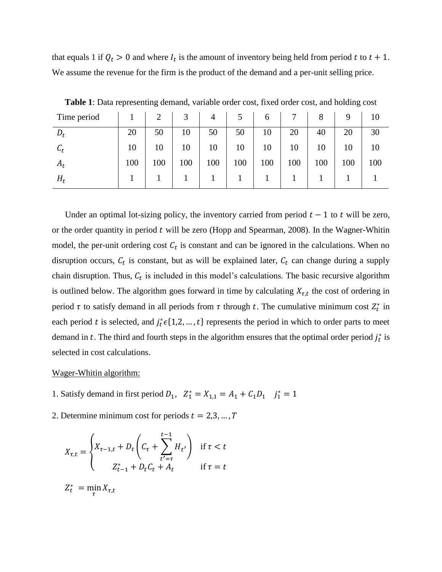that equals 1 if  $Q_t > 0$  and where  $I_t$  is the amount of inventory being held from period t to  $t + 1$ . We assume the revenue for the firm is the product of the demand and a per-unit selling price.

| Time period |     |     |     | $\overline{4}$ |     | b   |     | 8   |     | 10  |
|-------------|-----|-----|-----|----------------|-----|-----|-----|-----|-----|-----|
| $D_t$       | 20  | 50  | 10  | 50             | 50  | 10  | 20  | 40  | 20  | 30  |
| $C_t$       | 10  | 10  | 10  | 10             | 10  | 10  | 10  | 10  | 10  | 10  |
| $A_t$       | 100 | 100 | 100 | 100            | 100 | 100 | 100 | 100 | 100 | 100 |
| $H_t$       |     |     |     |                |     |     |     |     |     |     |

**Table 1**: Data representing demand, variable order cost, fixed order cost, and holding cost

Under an optimal lot-sizing policy, the inventory carried from period  $t - 1$  to  $t$  will be zero, or the order quantity in period  $t$  will be zero (Hopp and Spearman, 2008). In the Wagner-Whitin model, the per-unit ordering cost  $C_t$  is constant and can be ignored in the calculations. When no disruption occurs,  $C_t$  is constant, but as will be explained later,  $C_t$  can change during a supply chain disruption. Thus,  $C_t$  is included in this model's calculations. The basic recursive algorithm is outlined below. The algorithm goes forward in time by calculating  $X_{\tau,t}$  the cost of ordering in period  $\tau$  to satisfy demand in all periods from  $\tau$  through  $t$ . The cumulative minimum cost  $Z_t^*$  in each period t is selected, and  $j_t^* \in \{1, 2, ..., t\}$  represents the period in which to order parts to meet demand in t. The third and fourth steps in the algorithm ensures that the optimal order period  $j_t^*$  is selected in cost calculations.

## Wager-Whitin algorithm:

- 1. Satisfy demand in first period  $D_1$ ,  $Z_1^* = X_{1,1} = A_1 + C_1 D_1$   $j_1^* = 1$
- 2. Determine minimum cost for periods  $t = 2,3,...,T$

$$
X_{\tau,t} = \begin{cases} X_{\tau-1,t} + D_t \left( C_\tau + \sum_{t'=t}^{t-1} H_{t'} \right) & \text{if } \tau < t \\ Z_{t-1}^* + D_t C_t + A_t & \text{if } \tau = t \end{cases}
$$
\n
$$
Z_t^* = \min_{\tau} X_{\tau,t}
$$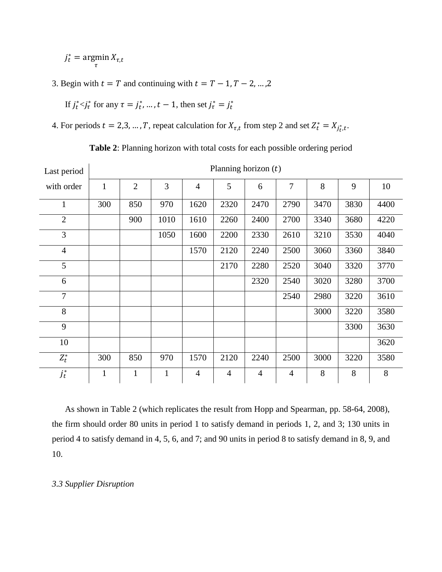$$
j_t^* = \operatornamewithlimits{argmin}\limits_{\tau} X_{\tau,t}
$$

3. Begin with  $t = T$  and continuing with  $t = T - 1, T - 2, \dots, 2$ 

If 
$$
j_t^* < j_\tau^*
$$
 for any  $\tau = j_t^*$ , ...,  $t - 1$ , then set  $j_\tau^* = j_t^*$ 

4. For periods  $t = 2, 3, ..., T$ , repeat calculation for  $X_{\tau,t}$  from step 2 and set  $Z_t^* = X_{j_t^*,t}$ .

| Last period    |              | Planning horizon $(t)$ |              |                |                |                |                |      |      |      |
|----------------|--------------|------------------------|--------------|----------------|----------------|----------------|----------------|------|------|------|
| with order     | $\mathbf{1}$ | $\overline{2}$         | 3            | $\overline{4}$ | 5              | 6              | $\overline{7}$ | 8    | 9    | 10   |
| 1              | 300          | 850                    | 970          | 1620           | 2320           | 2470           | 2790           | 3470 | 3830 | 4400 |
| $\overline{2}$ |              | 900                    | 1010         | 1610           | 2260           | 2400           | 2700           | 3340 | 3680 | 4220 |
| 3              |              |                        | 1050         | 1600           | 2200           | 2330           | 2610           | 3210 | 3530 | 4040 |
| $\overline{4}$ |              |                        |              | 1570           | 2120           | 2240           | 2500           | 3060 | 3360 | 3840 |
| 5              |              |                        |              |                | 2170           | 2280           | 2520           | 3040 | 3320 | 3770 |
| 6              |              |                        |              |                |                | 2320           | 2540           | 3020 | 3280 | 3700 |
| $\overline{7}$ |              |                        |              |                |                |                | 2540           | 2980 | 3220 | 3610 |
| 8              |              |                        |              |                |                |                |                | 3000 | 3220 | 3580 |
| 9              |              |                        |              |                |                |                |                |      | 3300 | 3630 |
| 10             |              |                        |              |                |                |                |                |      |      | 3620 |
| $Z_t^*$        | 300          | 850                    | 970          | 1570           | 2120           | 2240           | 2500           | 3000 | 3220 | 3580 |
| $j_t^*$        | $\mathbf{1}$ | $\mathbf{1}$           | $\mathbf{1}$ | $\overline{4}$ | $\overline{4}$ | $\overline{4}$ | $\overline{4}$ | 8    | 8    | 8    |

**Table 2**: Planning horizon with total costs for each possible ordering period

As shown in Table 2 (which replicates the result from Hopp and Spearman, pp. 58-64, 2008), the firm should order 80 units in period 1 to satisfy demand in periods 1, 2, and 3; 130 units in period 4 to satisfy demand in 4, 5, 6, and 7; and 90 units in period 8 to satisfy demand in 8, 9, and 10.

## *3.3 Supplier Disruption*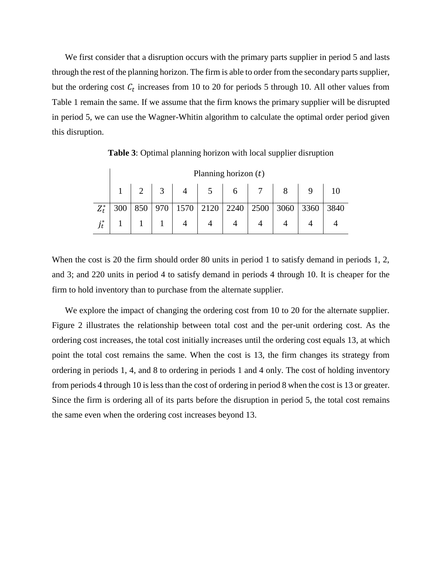We first consider that a disruption occurs with the primary parts supplier in period 5 and lasts through the rest of the planning horizon. The firm is able to order from the secondary parts supplier, but the ordering cost  $C_t$  increases from 10 to 20 for periods 5 through 10. All other values from Table 1 remain the same. If we assume that the firm knows the primary supplier will be disrupted in period 5, we can use the Wagner-Whitin algorithm to calculate the optimal order period given this disruption.

|         |     |     |     |      | Planning horizon $(t)$ |      |       |      |      |      |
|---------|-----|-----|-----|------|------------------------|------|-------|------|------|------|
|         |     |     |     |      | $4 \mid 5 \mid 6$      |      | $7-1$ |      |      |      |
| $Z_t^*$ | 300 | 850 | 970 | 1570 | 2120                   | 2240 | 2500  | 3060 | 3360 | 3840 |
|         |     |     |     |      |                        |      |       |      |      |      |

**Table 3**: Optimal planning horizon with local supplier disruption

When the cost is 20 the firm should order 80 units in period 1 to satisfy demand in periods 1, 2, and 3; and 220 units in period 4 to satisfy demand in periods 4 through 10. It is cheaper for the firm to hold inventory than to purchase from the alternate supplier.

We explore the impact of changing the ordering cost from 10 to 20 for the alternate supplier. Figure 2 illustrates the relationship between total cost and the per-unit ordering cost. As the ordering cost increases, the total cost initially increases until the ordering cost equals 13, at which point the total cost remains the same. When the cost is 13, the firm changes its strategy from ordering in periods 1, 4, and 8 to ordering in periods 1 and 4 only. The cost of holding inventory from periods 4 through 10 is less than the cost of ordering in period 8 when the cost is 13 or greater. Since the firm is ordering all of its parts before the disruption in period 5, the total cost remains the same even when the ordering cost increases beyond 13.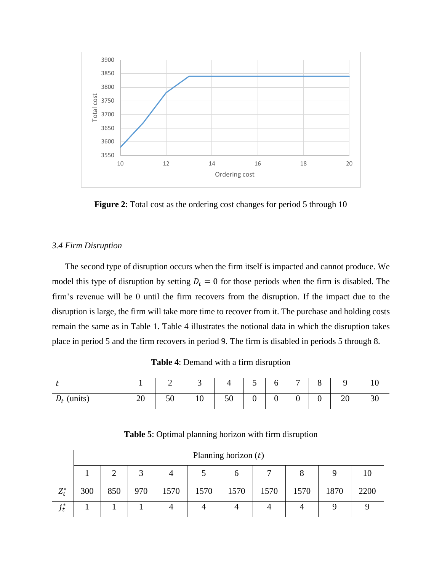

**Figure 2**: Total cost as the ordering cost changes for period 5 through 10

## *3.4 Firm Disruption*

The second type of disruption occurs when the firm itself is impacted and cannot produce. We model this type of disruption by setting  $D_t = 0$  for those periods when the firm is disabled. The firm's revenue will be 0 until the firm recovers from the disruption. If the impact due to the disruption is large, the firm will take more time to recover from it. The purchase and holding costs remain the same as in Table 1. Table 4 illustrates the notional data in which the disruption takes place in period 5 and the firm recovers in period 9. The firm is disabled in periods 5 through 8.

**Table 4**: Demand with a firm disruption

|               | $1 \mid 2 \mid 3 \mid 4 \mid 5 \mid 6 \mid 7 \mid 8 \mid 9 \mid 10$ |  |  |  |  |  |
|---------------|---------------------------------------------------------------------|--|--|--|--|--|
| $D_t$ (units) |                                                                     |  |  |  |  |  |

**Table 5**: Optimal planning horizon with firm disruption

|                 |     |     |     |      |      | Planning horizon $(t)$ |                |      |      |      |
|-----------------|-----|-----|-----|------|------|------------------------|----------------|------|------|------|
|                 |     |     |     |      |      |                        | $\overline{ }$ |      |      |      |
| $7*$<br>$t_{t}$ | 300 | 850 | 970 | 1570 | 1570 | 1570                   | 1570           | 1570 | 1870 | 2200 |
| :*<br>Jt        |     |     |     |      |      |                        |                |      |      |      |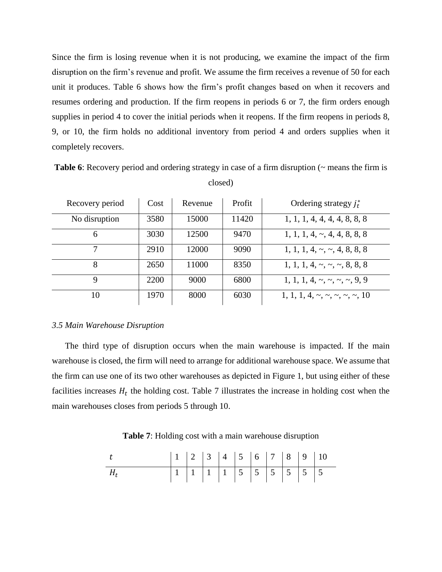Since the firm is losing revenue when it is not producing, we examine the impact of the firm disruption on the firm's revenue and profit. We assume the firm receives a revenue of 50 for each unit it produces. Table 6 shows how the firm's profit changes based on when it recovers and resumes ordering and production. If the firm reopens in periods 6 or 7, the firm orders enough supplies in period 4 to cover the initial periods when it reopens. If the firm reopens in periods 8, 9, or 10, the firm holds no additional inventory from period 4 and orders supplies when it completely recovers.

**Table 6**: Recovery period and ordering strategy in case of a firm disruption ( $\sim$  means the firm is

| Recovery period | Cost | Revenue | Profit | Ordering strategy $j_t^*$                                   |
|-----------------|------|---------|--------|-------------------------------------------------------------|
| No disruption   | 3580 | 15000   | 11420  | 1, 1, 1, 4, 4, 4, 4, 8, 8, 8                                |
| 6               | 3030 | 12500   | 9470   | $1, 1, 1, 4, \sim, 4, 4, 8, 8, 8$                           |
|                 | 2910 | 12000   | 9090   | $1, 1, 1, 4, \sim, \sim, 4, 8, 8, 8$                        |
| 8               | 2650 | 11000   | 8350   | 1, 1, 1, 4, $\sim$ , $\sim$ , $\sim$ , 8, 8, 8              |
| 9               | 2200 | 9000    | 6800   | 1, 1, 1, 4, $\sim$ , $\sim$ , $\sim$ , $\sim$ , 9, 9        |
| 10              | 1970 | 8000    | 6030   | 1, 1, 1, 4, $\sim$ , $\sim$ , $\sim$ , $\sim$ , $\sim$ , 10 |

closed)

#### *3.5 Main Warehouse Disruption*

The third type of disruption occurs when the main warehouse is impacted. If the main warehouse is closed, the firm will need to arrange for additional warehouse space. We assume that the firm can use one of its two other warehouses as depicted in Figure 1, but using either of these facilities increases  $H_t$  the holding cost. Table 7 illustrates the increase in holding cost when the main warehouses closes from periods 5 through 10.

**Table 7**: Holding cost with a main warehouse disruption

| $H_t$ |  |  |  |  |  |
|-------|--|--|--|--|--|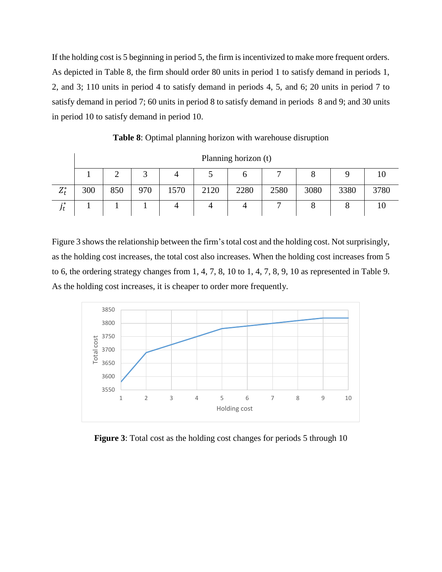If the holding cost is 5 beginning in period 5, the firm is incentivized to make more frequent orders. As depicted in Table 8, the firm should order 80 units in period 1 to satisfy demand in periods 1, 2, and 3; 110 units in period 4 to satisfy demand in periods 4, 5, and 6; 20 units in period 7 to satisfy demand in period 7; 60 units in period 8 to satisfy demand in periods 8 and 9; and 30 units in period 10 to satisfy demand in period 10.

|           |     |     |     |      |      | Planning horizon (t) |      |      |      |      |
|-----------|-----|-----|-----|------|------|----------------------|------|------|------|------|
|           |     |     |     |      |      |                      |      |      |      |      |
| $7*$<br>t | 300 | 850 | 970 | 1570 | 2120 | 2280                 | 2580 | 3080 | 3380 | 3780 |
| .*<br>Jt  |     |     |     |      |      |                      | −    |      |      |      |

**Table 8**: Optimal planning horizon with warehouse disruption

Figure 3 shows the relationship between the firm's total cost and the holding cost. Not surprisingly, as the holding cost increases, the total cost also increases. When the holding cost increases from 5 to 6, the ordering strategy changes from 1, 4, 7, 8, 10 to 1, 4, 7, 8, 9, 10 as represented in Table 9. As the holding cost increases, it is cheaper to order more frequently.



**Figure 3:** Total cost as the holding cost changes for periods 5 through 10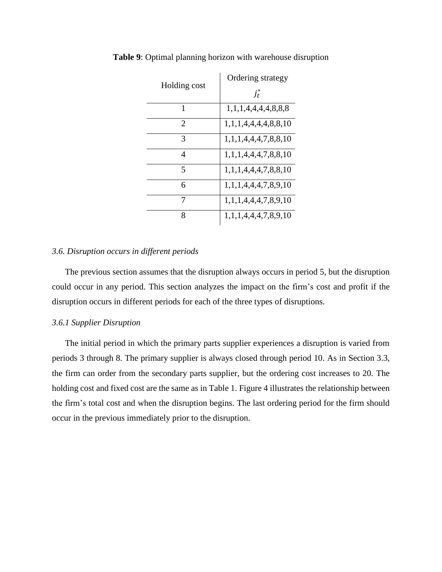| Holding cost   | Ordering strategy<br>$j_t^*$  |
|----------------|-------------------------------|
| 1              | 1,1,1,4,4,4,4,8,8,8           |
| $\mathfrak{D}$ | 1,1,1,4,4,4,4,8,8,10          |
| 3              | 1,1,1,4,4,4,7,8,8,10          |
| 4              | 1,1,1,4,4,4,7,8,8,10          |
| 5              | 1, 1, 1, 4, 4, 4, 7, 8, 8, 10 |
| 6              | 1,1,1,4,4,4,7,8,9,10          |
| 7              | 1,1,1,4,4,4,7,8,9,10          |
| 8              | 1,1,1,4,4,4,7,8,9,10          |

**Table 9**: Optimal planning horizon with warehouse disruption

 $\mathbf{r}$ 

## *3.6. Disruption occurs in different periods*

The previous section assumes that the disruption always occurs in period 5, but the disruption could occur in any period. This section analyzes the impact on the firm's cost and profit if the disruption occurs in different periods for each of the three types of disruptions.

## *3.6.1 Supplier Disruption*

The initial period in which the primary parts supplier experiences a disruption is varied from periods 3 through 8. The primary supplier is always closed through period 10. As in Section 3.3, the firm can order from the secondary parts supplier, but the ordering cost increases to 20. The holding cost and fixed cost are the same as in Table 1. Figure 4 illustrates the relationship between the firm's total cost and when the disruption begins. The last ordering period for the firm should occur in the previous immediately prior to the disruption.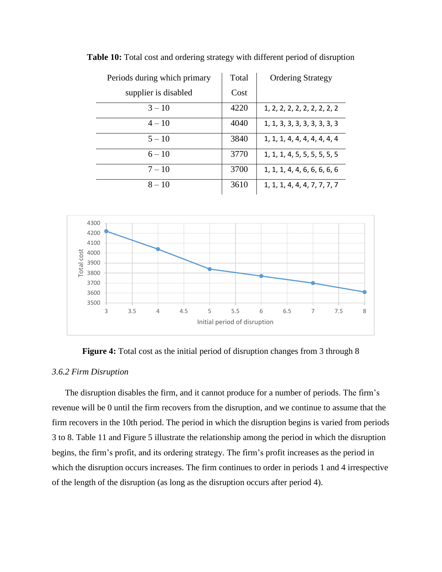| Periods during which primary | Total | <b>Ordering Strategy</b>     |
|------------------------------|-------|------------------------------|
| supplier is disabled         | Cost  |                              |
| $3 - 10$                     | 4220  | 1, 2, 2, 2, 2, 2, 2, 2, 2, 2 |
| $4 - 10$                     | 4040  | 1, 1, 3, 3, 3, 3, 3, 3, 3, 3 |
| $5 - 10$                     | 3840  | 1, 1, 1, 4, 4, 4, 4, 4, 4, 4 |
| $6 - 10$                     | 3770  | 1, 1, 1, 4, 5, 5, 5, 5, 5, 5 |
| $7 - 10$                     | 3700  | 1, 1, 1, 4, 4, 6, 6, 6, 6, 6 |
| $8 - 10$                     | 3610  | 1, 1, 1, 4, 4, 4, 7, 7, 7, 7 |

**Table 10:** Total cost and ordering strategy with different period of disruption



**Figure 4:** Total cost as the initial period of disruption changes from 3 through 8

## *3.6.2 Firm Disruption*

The disruption disables the firm, and it cannot produce for a number of periods. The firm's revenue will be 0 until the firm recovers from the disruption, and we continue to assume that the firm recovers in the 10th period. The period in which the disruption begins is varied from periods 3 to 8. Table 11 and Figure 5 illustrate the relationship among the period in which the disruption begins, the firm's profit, and its ordering strategy. The firm's profit increases as the period in which the disruption occurs increases. The firm continues to order in periods 1 and 4 irrespective of the length of the disruption (as long as the disruption occurs after period 4).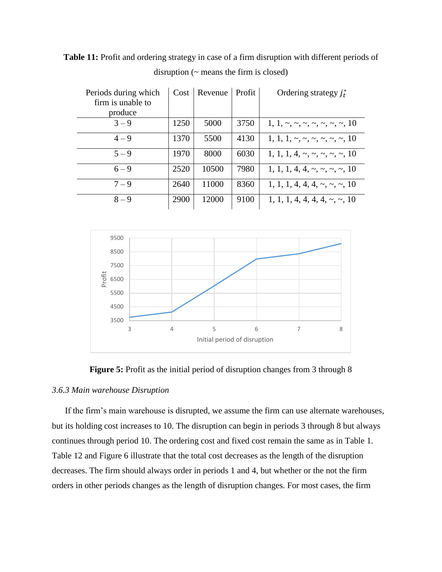| Periods during which<br>firm is unable to<br>produce | Cost | Revenue | Profit | Ordering strategy $j_t^*$                                               |
|------------------------------------------------------|------|---------|--------|-------------------------------------------------------------------------|
|                                                      |      |         |        |                                                                         |
| $3 - 9$                                              | 1250 | 5000    | 3750   | 1, 1, $\sim$ , $\sim$ , $\sim$ , $\sim$ , $\sim$ , $\sim$ , $\sim$ , 10 |
| $4 - 9$                                              | 1370 | 5500    | 4130   | 1, 1, 1, $\sim$ , $\sim$ , $\sim$ , $\sim$ , $\sim$ , $\sim$ , 10       |
| $5 - 9$                                              | 1970 | 8000    | 6030   | 1, 1, 1, 4, $\sim$ , $\sim$ , $\sim$ , $\sim$ , $\sim$ , 10             |
| $6 - 9$                                              | 2520 | 10500   | 7980   | 1, 1, 1, 4, 4, $\sim$ , $\sim$ , $\sim$ , $\sim$ , 10                   |
| $7 - 9$                                              | 2640 | 11000   | 8360   | 1, 1, 1, 4, 4, 4, $\sim$ , $\sim$ , $\sim$ , 10                         |
| $8 - 9$                                              | 2900 | 12000   | 9100   | $1, 1, 1, 4, 4, 4, 4, \sim, \sim, 10$                                   |

**Table 11:** Profit and ordering strategy in case of a firm disruption with different periods of disruption (~ means the firm is closed)





# *3.6.3 Main warehouse Disruption*

If the firm's main warehouse is disrupted, we assume the firm can use alternate warehouses, but its holding cost increases to 10. The disruption can begin in periods 3 through 8 but always continues through period 10. The ordering cost and fixed cost remain the same as in Table 1. Table 12 and Figure 6 illustrate that the total cost decreases as the length of the disruption decreases. The firm should always order in periods 1 and 4, but whether or the not the firm orders in other periods changes as the length of disruption changes. For most cases, the firm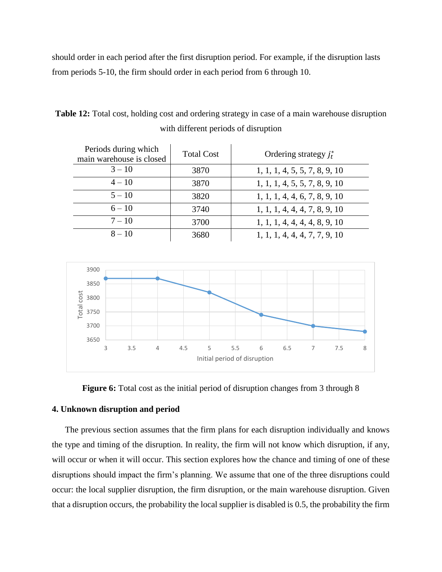should order in each period after the first disruption period. For example, if the disruption lasts from periods 5-10, the firm should order in each period from 6 through 10.

| <b>Table 12:</b> Total cost, holding cost and ordering strategy in case of a main warehouse disruption |
|--------------------------------------------------------------------------------------------------------|
| with different periods of disruption                                                                   |

| Periods during which<br>main warehouse is closed | <b>Total Cost</b> | Ordering strategy $j_t^*$     |
|--------------------------------------------------|-------------------|-------------------------------|
| $3 - 10$                                         | 3870              | 1, 1, 1, 4, 5, 5, 7, 8, 9, 10 |
| $4 - 10$                                         | 3870              | 1, 1, 1, 4, 5, 5, 7, 8, 9, 10 |
| $5 - 10$                                         | 3820              | 1, 1, 1, 4, 4, 6, 7, 8, 9, 10 |
| $6 - 10$                                         | 3740              | 1, 1, 1, 4, 4, 4, 7, 8, 9, 10 |
| $7 - 10$                                         | 3700              | 1, 1, 1, 4, 4, 4, 4, 8, 9, 10 |
| $8 - 10$                                         | 3680              | 1, 1, 1, 4, 4, 4, 7, 7, 9, 10 |





# **4. Unknown disruption and period**

The previous section assumes that the firm plans for each disruption individually and knows the type and timing of the disruption. In reality, the firm will not know which disruption, if any, will occur or when it will occur. This section explores how the chance and timing of one of these disruptions should impact the firm's planning. We assume that one of the three disruptions could occur: the local supplier disruption, the firm disruption, or the main warehouse disruption. Given that a disruption occurs, the probability the local supplier is disabled is 0.5, the probability the firm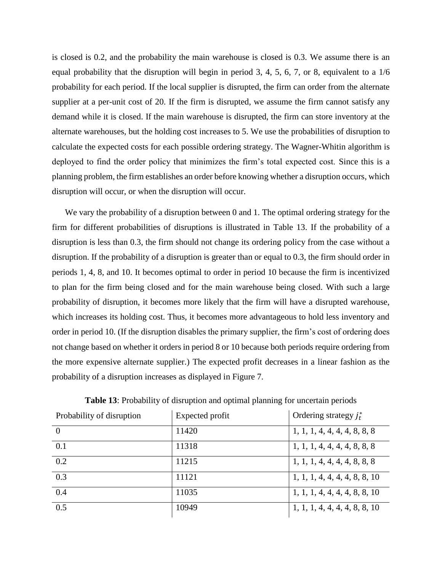is closed is 0.2, and the probability the main warehouse is closed is 0.3. We assume there is an equal probability that the disruption will begin in period 3, 4, 5, 6, 7, or 8, equivalent to a 1/6 probability for each period. If the local supplier is disrupted, the firm can order from the alternate supplier at a per-unit cost of 20. If the firm is disrupted, we assume the firm cannot satisfy any demand while it is closed. If the main warehouse is disrupted, the firm can store inventory at the alternate warehouses, but the holding cost increases to 5. We use the probabilities of disruption to calculate the expected costs for each possible ordering strategy. The Wagner-Whitin algorithm is deployed to find the order policy that minimizes the firm's total expected cost. Since this is a planning problem, the firm establishes an order before knowing whether a disruption occurs, which disruption will occur, or when the disruption will occur.

We vary the probability of a disruption between 0 and 1. The optimal ordering strategy for the firm for different probabilities of disruptions is illustrated in Table 13. If the probability of a disruption is less than 0.3, the firm should not change its ordering policy from the case without a disruption. If the probability of a disruption is greater than or equal to 0.3, the firm should order in periods 1, 4, 8, and 10. It becomes optimal to order in period 10 because the firm is incentivized to plan for the firm being closed and for the main warehouse being closed. With such a large probability of disruption, it becomes more likely that the firm will have a disrupted warehouse, which increases its holding cost. Thus, it becomes more advantageous to hold less inventory and order in period 10. (If the disruption disables the primary supplier, the firm's cost of ordering does not change based on whether it orders in period 8 or 10 because both periods require ordering from the more expensive alternate supplier.) The expected profit decreases in a linear fashion as the probability of a disruption increases as displayed in Figure 7.

| Probability of disruption | Expected profit | Ordering strategy $j_t^*$     |
|---------------------------|-----------------|-------------------------------|
| $\Omega$                  | 11420           | 1, 1, 1, 4, 4, 4, 4, 8, 8, 8  |
| 0.1                       | 11318           | 1, 1, 1, 4, 4, 4, 4, 8, 8, 8  |
| 0.2                       | 11215           | 1, 1, 1, 4, 4, 4, 4, 8, 8, 8  |
| 0.3                       | 11121           | 1, 1, 1, 4, 4, 4, 4, 8, 8, 10 |
| 0.4                       | 11035           | 1, 1, 1, 4, 4, 4, 4, 8, 8, 10 |
| 0.5                       | 10949           | 1, 1, 1, 4, 4, 4, 4, 8, 8, 10 |

**Table 13**: Probability of disruption and optimal planning for uncertain periods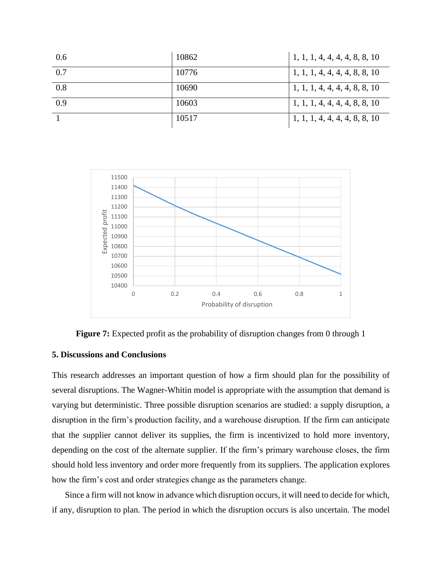| 0.6 | 10862 | 1, 1, 1, 4, 4, 4, 4, 8, 8, 10 |
|-----|-------|-------------------------------|
| 0.7 | 10776 | 1, 1, 1, 4, 4, 4, 4, 8, 8, 10 |
| 0.8 | 10690 | 1, 1, 1, 4, 4, 4, 4, 8, 8, 10 |
| 0.9 | 10603 | 1, 1, 1, 4, 4, 4, 4, 8, 8, 10 |
|     | 10517 | 1, 1, 1, 4, 4, 4, 4, 8, 8, 10 |



**Figure 7:** Expected profit as the probability of disruption changes from 0 through 1

# **5. Discussions and Conclusions**

This research addresses an important question of how a firm should plan for the possibility of several disruptions. The Wagner-Whitin model is appropriate with the assumption that demand is varying but deterministic. Three possible disruption scenarios are studied: a supply disruption, a disruption in the firm's production facility, and a warehouse disruption. If the firm can anticipate that the supplier cannot deliver its supplies, the firm is incentivized to hold more inventory, depending on the cost of the alternate supplier. If the firm's primary warehouse closes, the firm should hold less inventory and order more frequently from its suppliers. The application explores how the firm's cost and order strategies change as the parameters change.

Since a firm will not know in advance which disruption occurs, it will need to decide for which, if any, disruption to plan. The period in which the disruption occurs is also uncertain. The model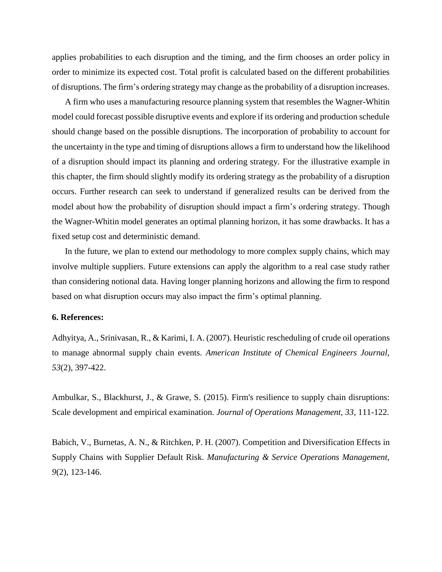applies probabilities to each disruption and the timing, and the firm chooses an order policy in order to minimize its expected cost. Total profit is calculated based on the different probabilities of disruptions. The firm's ordering strategy may change as the probability of a disruption increases.

A firm who uses a manufacturing resource planning system that resembles the Wagner-Whitin model could forecast possible disruptive events and explore if its ordering and production schedule should change based on the possible disruptions. The incorporation of probability to account for the uncertainty in the type and timing of disruptions allows a firm to understand how the likelihood of a disruption should impact its planning and ordering strategy. For the illustrative example in this chapter, the firm should slightly modify its ordering strategy as the probability of a disruption occurs. Further research can seek to understand if generalized results can be derived from the model about how the probability of disruption should impact a firm's ordering strategy. Though the Wagner-Whitin model generates an optimal planning horizon, it has some drawbacks. It has a fixed setup cost and deterministic demand.

In the future, we plan to extend our methodology to more complex supply chains, which may involve multiple suppliers. Future extensions can apply the algorithm to a real case study rather than considering notional data. Having longer planning horizons and allowing the firm to respond based on what disruption occurs may also impact the firm's optimal planning.

### **6. References:**

Adhyitya, A., Srinivasan, R., & Karimi, I. A. (2007). Heuristic rescheduling of crude oil operations to manage abnormal supply chain events. *American Institute of Chemical Engineers Journal, 53*(2), 397-422.

Ambulkar, S., Blackhurst, J., & Grawe, S. (2015). Firm's resilience to supply chain disruptions: Scale development and empirical examination. *Journal of Operations Management, 33*, 111-122.

Babich, V., Burnetas, A. N., & Ritchken, P. H. (2007). Competition and Diversification Effects in Supply Chains with Supplier Default Risk. *Manufacturing & Service Operations Management, 9*(2), 123-146.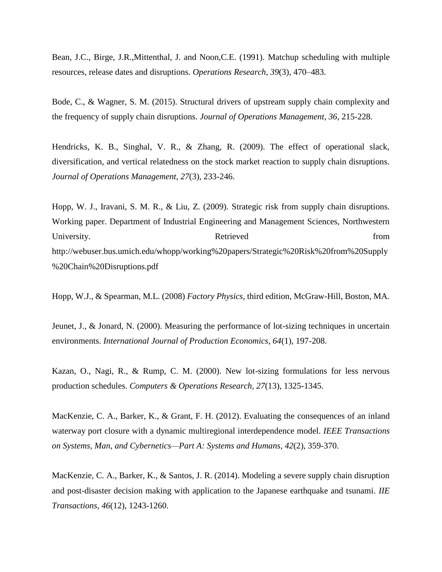Bean, J.C., Birge, J.R.,Mittenthal, J. and Noon,C.E. (1991). Matchup scheduling with multiple resources, release dates and disruptions. *Operations Research*, *39*(3), 470–483.

Bode, C., & Wagner, S. M. (2015). Structural drivers of upstream supply chain complexity and the frequency of supply chain disruptions. *Journal of Operations Management, 36*, 215-228.

Hendricks, K. B., Singhal, V. R., & Zhang, R. (2009). The effect of operational slack, diversification, and vertical relatedness on the stock market reaction to supply chain disruptions. *Journal of Operations Management, 27*(3), 233-246.

Hopp, W. J., Iravani, S. M. R., & Liu, Z. (2009). Strategic risk from supply chain disruptions. Working paper. Department of Industrial Engineering and Management Sciences, Northwestern University. The extent of the extent of the extent of the extent of the extent of the extent of the extent of the extent of the extent of the extent of the extent of the extent of the extent of the extent of the extent of http://webuser.bus.umich.edu/whopp/working%20papers/Strategic%20Risk%20from%20Supply %20Chain%20Disruptions.pdf

Hopp, W.J., & Spearman, M.L. (2008) *Factory Physics*, third edition, McGraw-Hill, Boston, MA.

Jeunet, J., & Jonard, N. (2000). Measuring the performance of lot-sizing techniques in uncertain environments. *International Journal of Production Economics, 64*(1), 197-208.

Kazan, O., Nagi, R., & Rump, C. M. (2000). New lot-sizing formulations for less nervous production schedules. *Computers & Operations Research, 27*(13), 1325-1345.

MacKenzie, C. A., Barker, K., & Grant, F. H. (2012). Evaluating the consequences of an inland waterway port closure with a dynamic multiregional interdependence model. *IEEE Transactions on Systems, Man, and Cybernetics—Part A: Systems and Humans, 42*(2), 359-370.

MacKenzie, C. A., Barker, K., & Santos, J. R. (2014). Modeling a severe supply chain disruption and post-disaster decision making with application to the Japanese earthquake and tsunami. *IIE Transactions, 46*(12), 1243-1260.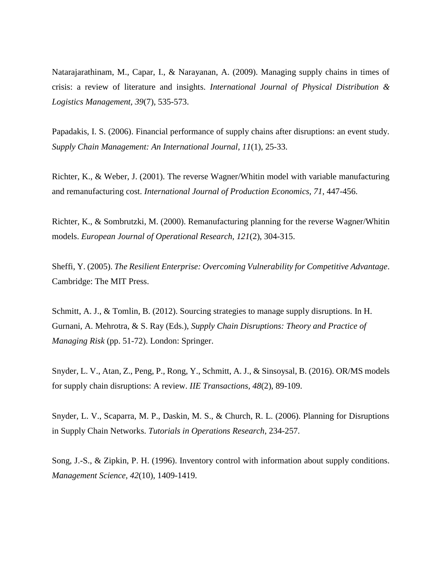Natarajarathinam, M., Capar, I., & Narayanan, A. (2009). Managing supply chains in times of crisis: a review of literature and insights. *International Journal of Physical Distribution & Logistics Management, 39*(7), 535-573.

Papadakis, I. S. (2006). Financial performance of supply chains after disruptions: an event study. *Supply Chain Management: An International Journal, 11*(1), 25-33.

Richter, K., & Weber, J. (2001). The reverse Wagner/Whitin model with variable manufacturing and remanufacturing cost. *International Journal of Production Economics, 71*, 447-456.

Richter, K., & Sombrutzki, M. (2000). Remanufacturing planning for the reverse Wagner/Whitin models. *European Journal of Operational Research, 121*(2), 304-315.

Sheffi, Y. (2005). *The Resilient Enterprise: Overcoming Vulnerability for Competitive Advantage*. Cambridge: The MIT Press.

Schmitt, A. J., & Tomlin, B. (2012). Sourcing strategies to manage supply disruptions. In H. Gurnani, A. Mehrotra, & S. Ray (Eds.), *Supply Chain Disruptions: Theory and Practice of Managing Risk* (pp. 51-72). London: Springer.

Snyder, L. V., Atan, Z., Peng, P., Rong, Y., Schmitt, A. J., & Sinsoysal, B. (2016). OR/MS models for supply chain disruptions: A review. *IIE Transactions, 48*(2), 89-109.

Snyder, L. V., Scaparra, M. P., Daskin, M. S., & Church, R. L. (2006). Planning for Disruptions in Supply Chain Networks. *Tutorials in Operations Research*, 234-257.

Song, J.-S., & Zipkin, P. H. (1996). Inventory control with information about supply conditions. *Management Science, 42*(10), 1409-1419.